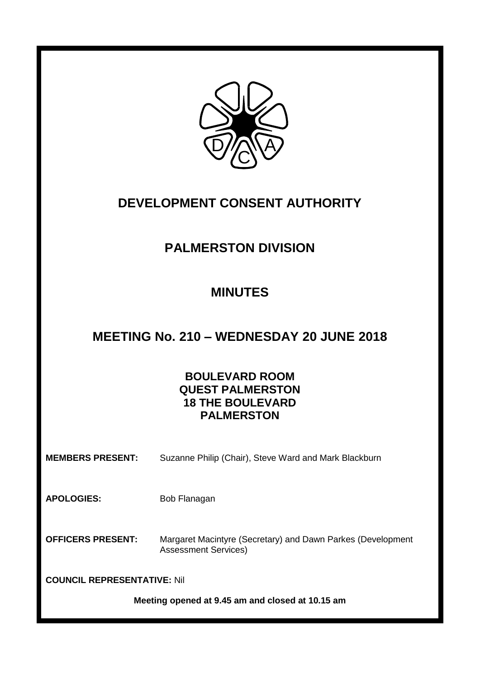

## **DEVELOPMENT CONSENT AUTHORITY**

## **PALMERSTON DIVISION**

# **MINUTES**

## **MEETING No. 210 – WEDNESDAY 20 JUNE 2018**

## **BOULEVARD ROOM QUEST PALMERSTON 18 THE BOULEVARD PALMERSTON**

**MEMBERS PRESENT:** Suzanne Philip (Chair), Steve Ward and Mark Blackburn

APOLOGIES: Bob Flanagan

**OFFICERS PRESENT:** Margaret Macintyre (Secretary) and Dawn Parkes (Development Assessment Services)

**COUNCIL REPRESENTATIVE:** Nil

**Meeting opened at 9.45 am and closed at 10.15 am**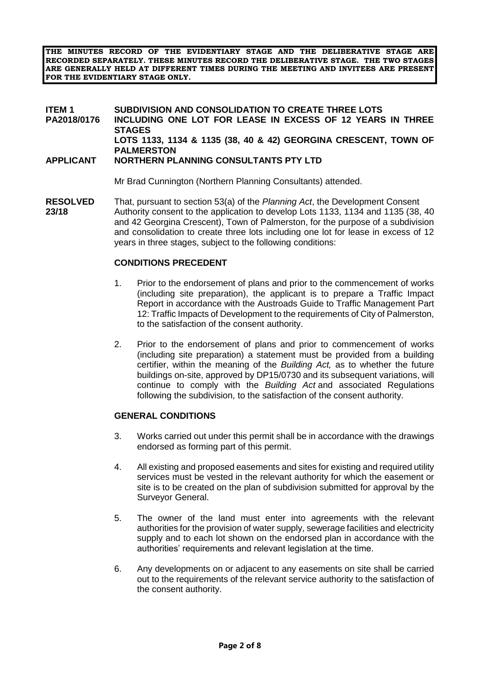**THE MINUTES RECORD OF THE EVIDENTIARY STAGE AND THE DELIBERATIVE STAGE ARE RECORDED SEPARATELY. THESE MINUTES RECORD THE DELIBERATIVE STAGE. THE TWO STAGES ARE GENERALLY HELD AT DIFFERENT TIMES DURING THE MEETING AND INVITEES ARE PRESENT FOR THE EVIDENTIARY STAGE ONLY.**

#### **ITEM 1 SUBDIVISION AND CONSOLIDATION TO CREATE THREE LOTS PA2018/0176 INCLUDING ONE LOT FOR LEASE IN EXCESS OF 12 YEARS IN THREE STAGES LOTS 1133, 1134 & 1135 (38, 40 & 42) GEORGINA CRESCENT, TOWN OF PALMERSTON APPLICANT NORTHERN PLANNING CONSULTANTS PTY LTD**

Mr Brad Cunnington (Northern Planning Consultants) attended.

**RESOLVED** That, pursuant to section 53(a) of the *Planning Act*, the Development Consent **23/18** Authority consent to the application to develop Lots 1133, 1134 and 1135 (38, 40 and 42 Georgina Crescent), Town of Palmerston, for the purpose of a subdivision and consolidation to create three lots including one lot for lease in excess of 12 years in three stages, subject to the following conditions:

### **CONDITIONS PRECEDENT**

- 1. Prior to the endorsement of plans and prior to the commencement of works (including site preparation), the applicant is to prepare a Traffic Impact Report in accordance with the Austroads Guide to Traffic Management Part 12: Traffic Impacts of Development to the requirements of City of Palmerston, to the satisfaction of the consent authority.
- 2. Prior to the endorsement of plans and prior to commencement of works (including site preparation) a statement must be provided from a building certifier, within the meaning of the *Building Act,* as to whether the future buildings on-site, approved by DP15/0730 and its subsequent variations, will continue to comply with the *Building Act* and associated Regulations following the subdivision, to the satisfaction of the consent authority.

### **GENERAL CONDITIONS**

- 3. Works carried out under this permit shall be in accordance with the drawings endorsed as forming part of this permit.
- 4. All existing and proposed easements and sites for existing and required utility services must be vested in the relevant authority for which the easement or site is to be created on the plan of subdivision submitted for approval by the Surveyor General.
- 5. The owner of the land must enter into agreements with the relevant authorities for the provision of water supply, sewerage facilities and electricity supply and to each lot shown on the endorsed plan in accordance with the authorities' requirements and relevant legislation at the time.
- 6. Any developments on or adjacent to any easements on site shall be carried out to the requirements of the relevant service authority to the satisfaction of the consent authority.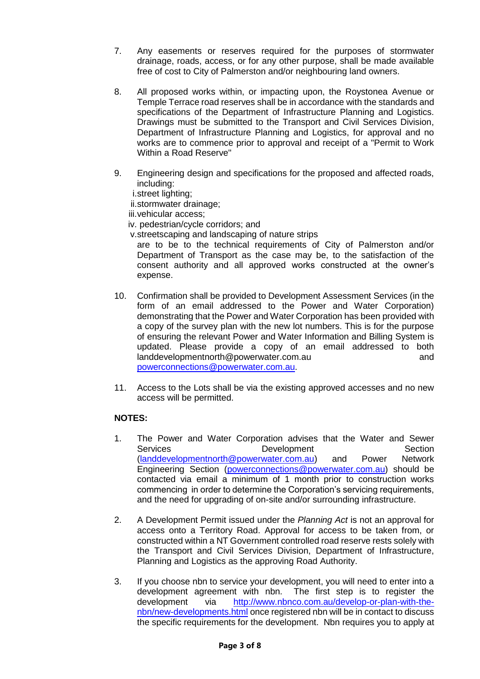- 7. Any easements or reserves required for the purposes of stormwater drainage, roads, access, or for any other purpose, shall be made available free of cost to City of Palmerston and/or neighbouring land owners.
- 8. All proposed works within, or impacting upon, the Roystonea Avenue or Temple Terrace road reserves shall be in accordance with the standards and specifications of the Department of Infrastructure Planning and Logistics. Drawings must be submitted to the Transport and Civil Services Division, Department of Infrastructure Planning and Logistics, for approval and no works are to commence prior to approval and receipt of a "Permit to Work Within a Road Reserve"
- 9. Engineering design and specifications for the proposed and affected roads, including:

i.street lighting;

ii.stormwater drainage;

iii.vehicular access;

iv. pedestrian/cycle corridors; and

v.streetscaping and landscaping of nature strips

are to be to the technical requirements of City of Palmerston and/or Department of Transport as the case may be, to the satisfaction of the consent authority and all approved works constructed at the owner's expense.

- 10. Confirmation shall be provided to Development Assessment Services (in the form of an email addressed to the Power and Water Corporation) demonstrating that the Power and Water Corporation has been provided with a copy of the survey plan with the new lot numbers. This is for the purpose of ensuring the relevant Power and Water Information and Billing System is updated. Please provide a copy of an email addressed to both landdevelopmentnorth@powerwater.com.au and [powerconnections@powerwater.com.au.](mailto:powerconnections@powerwater.com.au)
- 11. Access to the Lots shall be via the existing approved accesses and no new access will be permitted.

## **NOTES:**

- 1. The Power and Water Corporation advises that the Water and Sewer Services **Development** Development Section [\(landdevelopmentnorth@powerwater.com.au\)](mailto:landdevelopmentnorth@powerwater.com.au) and Power Network Engineering Section [\(powerconnections@powerwater.com.au\)](mailto:powerconnections@powerwater.com.au) should be contacted via email a minimum of 1 month prior to construction works commencing in order to determine the Corporation's servicing requirements, and the need for upgrading of on-site and/or surrounding infrastructure.
- 2. A Development Permit issued under the *Planning Act* is not an approval for access onto a Territory Road. Approval for access to be taken from, or constructed within a NT Government controlled road reserve rests solely with the Transport and Civil Services Division, Department of Infrastructure, Planning and Logistics as the approving Road Authority.
- 3. If you choose nbn to service your development, you will need to enter into a development agreement with nbn. The first step is to register the development via [http://www.nbnco.com.au/develop-or-plan-with-the](http://www.nbnco.com.au/develop-or-plan-with-the-nbn/new-developments.html)[nbn/new-developments.html](http://www.nbnco.com.au/develop-or-plan-with-the-nbn/new-developments.html) once registered nbn will be in contact to discuss the specific requirements for the development. Nbn requires you to apply at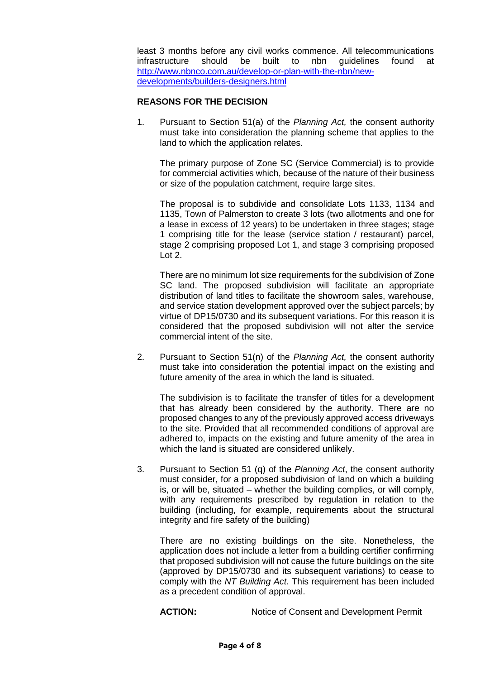least 3 months before any civil works commence. All telecommunications infrastructure should be built to nbn guidelines found at [http://www.nbnco.com.au/develop-or-plan-with-the-nbn/new](http://www.nbnco.com.au/develop-or-plan-with-the-nbn/new-developments/builders-designers.html)[developments/builders-designers.html](http://www.nbnco.com.au/develop-or-plan-with-the-nbn/new-developments/builders-designers.html)

### **REASONS FOR THE DECISION**

1. Pursuant to Section 51(a) of the *Planning Act,* the consent authority must take into consideration the planning scheme that applies to the land to which the application relates.

The primary purpose of Zone SC (Service Commercial) is to provide for commercial activities which, because of the nature of their business or size of the population catchment, require large sites.

The proposal is to subdivide and consolidate Lots 1133, 1134 and 1135, Town of Palmerston to create 3 lots (two allotments and one for a lease in excess of 12 years) to be undertaken in three stages; stage 1 comprising title for the lease (service station / restaurant) parcel, stage 2 comprising proposed Lot 1, and stage 3 comprising proposed Lot 2.

There are no minimum lot size requirements for the subdivision of Zone SC land. The proposed subdivision will facilitate an appropriate distribution of land titles to facilitate the showroom sales, warehouse, and service station development approved over the subject parcels; by virtue of DP15/0730 and its subsequent variations. For this reason it is considered that the proposed subdivision will not alter the service commercial intent of the site.

2. Pursuant to Section 51(n) of the *Planning Act,* the consent authority must take into consideration the potential impact on the existing and future amenity of the area in which the land is situated.

The subdivision is to facilitate the transfer of titles for a development that has already been considered by the authority. There are no proposed changes to any of the previously approved access driveways to the site. Provided that all recommended conditions of approval are adhered to, impacts on the existing and future amenity of the area in which the land is situated are considered unlikely.

3. Pursuant to Section 51 (q) of the *Planning Act*, the consent authority must consider, for a proposed subdivision of land on which a building is, or will be, situated – whether the building complies, or will comply, with any requirements prescribed by regulation in relation to the building (including, for example, requirements about the structural integrity and fire safety of the building)

There are no existing buildings on the site. Nonetheless, the application does not include a letter from a building certifier confirming that proposed subdivision will not cause the future buildings on the site (approved by DP15/0730 and its subsequent variations) to cease to comply with the *NT Building Act*. This requirement has been included as a precedent condition of approval.

**ACTION:** Notice of Consent and Development Permit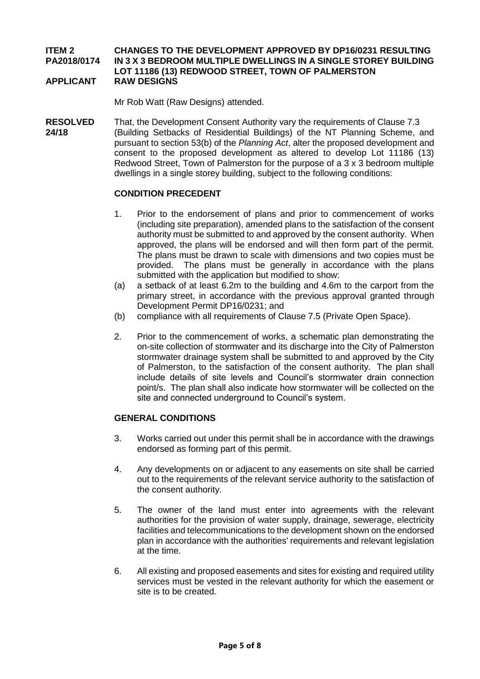#### **ITEM 2 CHANGES TO THE DEVELOPMENT APPROVED BY DP16/0231 RESULTING PA2018/0174 IN 3 X 3 BEDROOM MULTIPLE DWELLINGS IN A SINGLE STOREY BUILDING LOT 11186 (13) REDWOOD STREET, TOWN OF PALMERSTON APPLICANT RAW DESIGNS**

Mr Rob Watt (Raw Designs) attended.

**RESOLVED** That, the Development Consent Authority vary the requirements of Clause 7.3 **24/18** (Building Setbacks of Residential Buildings) of the NT Planning Scheme, and pursuant to section 53(b) of the *Planning Act*, alter the proposed development and consent to the proposed development as altered to develop Lot 11186 (13) Redwood Street, Town of Palmerston for the purpose of a 3 x 3 bedroom multiple dwellings in a single storey building, subject to the following conditions:

### **CONDITION PRECEDENT**

- 1. Prior to the endorsement of plans and prior to commencement of works (including site preparation), amended plans to the satisfaction of the consent authority must be submitted to and approved by the consent authority. When approved, the plans will be endorsed and will then form part of the permit. The plans must be drawn to scale with dimensions and two copies must be provided. The plans must be generally in accordance with the plans submitted with the application but modified to show:
- (a) a setback of at least 6.2m to the building and 4.6m to the carport from the primary street, in accordance with the previous approval granted through Development Permit DP16/0231; and
- (b) compliance with all requirements of Clause 7.5 (Private Open Space).
- 2. Prior to the commencement of works, a schematic plan demonstrating the on-site collection of stormwater and its discharge into the City of Palmerston stormwater drainage system shall be submitted to and approved by the City of Palmerston, to the satisfaction of the consent authority. The plan shall include details of site levels and Council's stormwater drain connection point/s. The plan shall also indicate how stormwater will be collected on the site and connected underground to Council's system.

## **GENERAL CONDITIONS**

- 3. Works carried out under this permit shall be in accordance with the drawings endorsed as forming part of this permit.
- 4. Any developments on or adjacent to any easements on site shall be carried out to the requirements of the relevant service authority to the satisfaction of the consent authority.
- 5. The owner of the land must enter into agreements with the relevant authorities for the provision of water supply, drainage, sewerage, electricity facilities and telecommunications to the development shown on the endorsed plan in accordance with the authorities' requirements and relevant legislation at the time.
- 6. All existing and proposed easements and sites for existing and required utility services must be vested in the relevant authority for which the easement or site is to be created.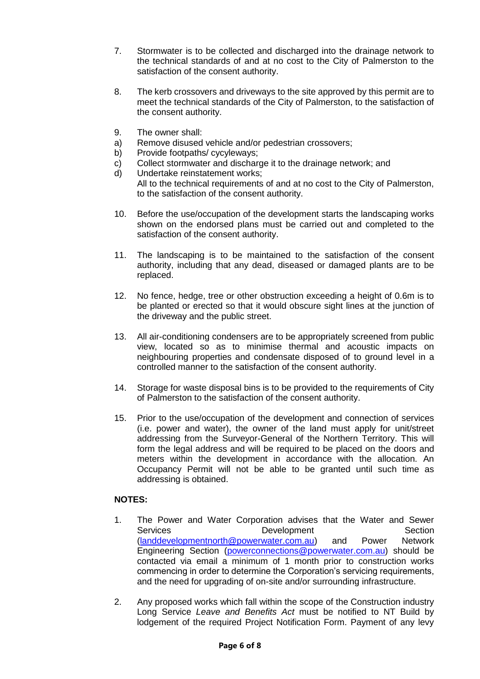- 7. Stormwater is to be collected and discharged into the drainage network to the technical standards of and at no cost to the City of Palmerston to the satisfaction of the consent authority.
- 8. The kerb crossovers and driveways to the site approved by this permit are to meet the technical standards of the City of Palmerston, to the satisfaction of the consent authority.
- 9. The owner shall:
- a) Remove disused vehicle and/or pedestrian crossovers;
- b) Provide footpaths/ cycyleways;
- c) Collect stormwater and discharge it to the drainage network; and
- d) Undertake reinstatement works;

All to the technical requirements of and at no cost to the City of Palmerston, to the satisfaction of the consent authority.

- 10. Before the use/occupation of the development starts the landscaping works shown on the endorsed plans must be carried out and completed to the satisfaction of the consent authority.
- 11. The landscaping is to be maintained to the satisfaction of the consent authority, including that any dead, diseased or damaged plants are to be replaced.
- 12. No fence, hedge, tree or other obstruction exceeding a height of 0.6m is to be planted or erected so that it would obscure sight lines at the junction of the driveway and the public street.
- 13. All air-conditioning condensers are to be appropriately screened from public view, located so as to minimise thermal and acoustic impacts on neighbouring properties and condensate disposed of to ground level in a controlled manner to the satisfaction of the consent authority.
- 14. Storage for waste disposal bins is to be provided to the requirements of City of Palmerston to the satisfaction of the consent authority.
- 15. Prior to the use/occupation of the development and connection of services (i.e. power and water), the owner of the land must apply for unit/street addressing from the Surveyor-General of the Northern Territory. This will form the legal address and will be required to be placed on the doors and meters within the development in accordance with the allocation. An Occupancy Permit will not be able to be granted until such time as addressing is obtained.

### **NOTES:**

- 1. The Power and Water Corporation advises that the Water and Sewer<br>Services **Development** Section Development Section [\(landdevelopmentnorth@powerwater.com.au\)](mailto:landdevelopmentnorth@powerwater.com.au) and Power Network Engineering Section [\(powerconnections@powerwater.com.au\)](mailto:powerconnections@powerwater.com.au) should be contacted via email a minimum of 1 month prior to construction works commencing in order to determine the Corporation's servicing requirements, and the need for upgrading of on-site and/or surrounding infrastructure.
- 2. Any proposed works which fall within the scope of the Construction industry Long Service *Leave and Benefits Act* must be notified to NT Build by lodgement of the required Project Notification Form. Payment of any levy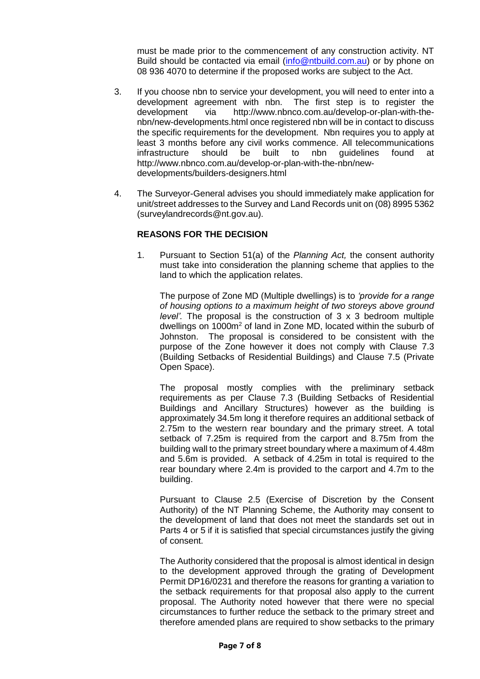must be made prior to the commencement of any construction activity. NT Build should be contacted via email [\(info@ntbuild.com.au\)](mailto:info@ntbuild.com.au) or by phone on 08 936 4070 to determine if the proposed works are subject to the Act.

- 3. If you choose nbn to service your development, you will need to enter into a development agreement with nbn. The first step is to register the development via [http://www.nbnco.com.au/develop-or-plan-with-the](http://www.nbnco.com.au/develop-or-plan-with-the-nbn/new-developments.html)[nbn/new-developments.html](http://www.nbnco.com.au/develop-or-plan-with-the-nbn/new-developments.html) once registered nbn will be in contact to discuss the specific requirements for the development. Nbn requires you to apply at least 3 months before any civil works commence. All telecommunications infrastructure should be built to nbn guidelines found at [http://www.nbnco.com.au/develop-or-plan-with-the-nbn/new](http://www.nbnco.com.au/develop-or-plan-with-the-nbn/new-developments/builders-designers.html)[developments/builders-designers.html](http://www.nbnco.com.au/develop-or-plan-with-the-nbn/new-developments/builders-designers.html)
- 4. The Surveyor-General advises you should immediately make application for unit/street addresses to the Survey and Land Records unit on (08) 8995 5362 [\(surveylandrecords@nt.gov.au\)](mailto:surveylandrecords@nt.gov.au).

### **REASONS FOR THE DECISION**

1. Pursuant to Section 51(a) of the *Planning Act,* the consent authority must take into consideration the planning scheme that applies to the land to which the application relates.

The purpose of Zone MD (Multiple dwellings) is to *'provide for a range of housing options to a maximum height of two storeys above ground level'.* The proposal is the construction of 3 x 3 bedroom multiple dwellings on 1000m<sup>2</sup> of land in Zone MD, located within the suburb of Johnston. The proposal is considered to be consistent with the purpose of the Zone however it does not comply with Clause 7.3 (Building Setbacks of Residential Buildings) and Clause 7.5 (Private Open Space).

The proposal mostly complies with the preliminary setback requirements as per Clause 7.3 (Building Setbacks of Residential Buildings and Ancillary Structures) however as the building is approximately 34.5m long it therefore requires an additional setback of 2.75m to the western rear boundary and the primary street. A total setback of 7.25m is required from the carport and 8.75m from the building wall to the primary street boundary where a maximum of 4.48m and 5.6m is provided. A setback of 4.25m in total is required to the rear boundary where 2.4m is provided to the carport and 4.7m to the building.

Pursuant to Clause 2.5 (Exercise of Discretion by the Consent Authority) of the NT Planning Scheme, the Authority may consent to the development of land that does not meet the standards set out in Parts 4 or 5 if it is satisfied that special circumstances justify the giving of consent.

The Authority considered that the proposal is almost identical in design to the development approved through the grating of Development Permit DP16/0231 and therefore the reasons for granting a variation to the setback requirements for that proposal also apply to the current proposal. The Authority noted however that there were no special circumstances to further reduce the setback to the primary street and therefore amended plans are required to show setbacks to the primary